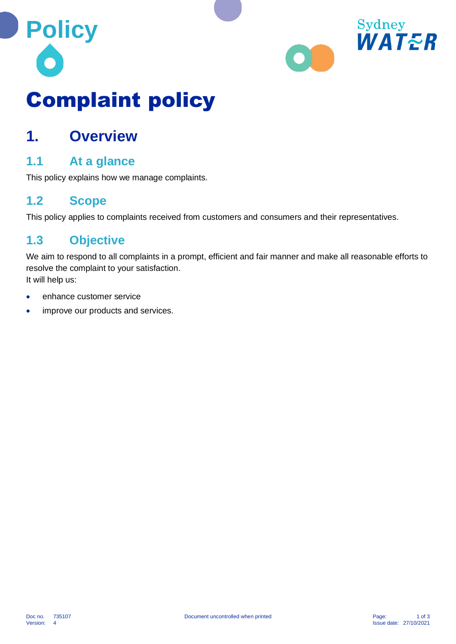



# Complaint policy

### **1. Overview**

#### **1.1 At a glance**

This policy explains how we manage complaints.

#### **1.2 Scope**

This policy applies to complaints received from customers and consumers and their representatives.

#### **1.3 Objective**

We aim to respond to all complaints in a prompt, efficient and fair manner and make all reasonable efforts to resolve the complaint to your satisfaction.

It will help us:

- enhance customer service
- improve our products and services.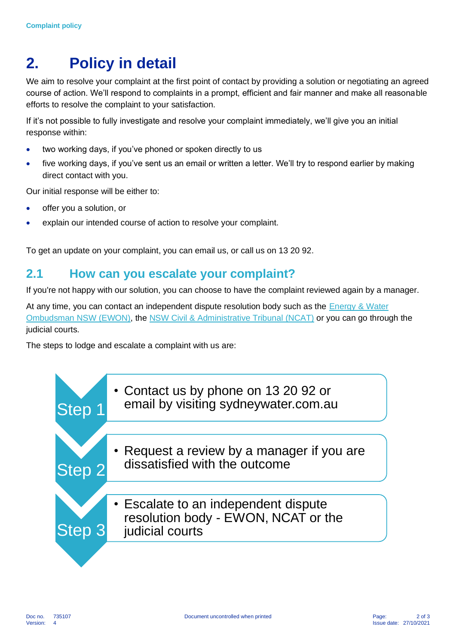## **2. Policy in detail**

We aim to resolve your complaint at the first point of contact by providing a solution or negotiating an agreed course of action. We'll respond to complaints in a prompt, efficient and fair manner and make all reasonable efforts to resolve the complaint to your satisfaction.

If it's not possible to fully investigate and resolve your complaint immediately, we'll give you an initial response within:

- two working days, if you've phoned or spoken directly to us
- five working days, if you've sent us an email or written a letter. We'll try to respond earlier by making direct contact with you.

Our initial response will be either to:

- offer you a solution, or
- explain our intended course of action to resolve your complaint.

To get an update on your complaint, you can email us, or call us on 13 20 92.

#### **2.1 How can you escalate your complaint?**

If you're not happy with our solution, you can choose to have the complaint reviewed again by a manager.

At any time, you can contact an independent dispute resolution body such as the Energy & Water [Ombudsman NSW \(EWON\),](https://www.ewon.com.au/) the [NSW Civil & Administrative Tribunal \(NCAT\)](https://www.ncat.nsw.gov.au/) or you can go through the judicial courts.

The steps to lodge and escalate a complaint with us are:

| <b>Step</b> | • Contact us by phone on 13 20 92 or<br>email by visiting sydneywater.com.au                   |
|-------------|------------------------------------------------------------------------------------------------|
|             |                                                                                                |
| Step 2      | • Request a review by a manager if you are<br>dissatisfied with the outcome                    |
|             |                                                                                                |
| <b>Step</b> | • Escalate to an independent dispute<br>resolution body - EWON, NCAT or the<br>judicial courts |
|             |                                                                                                |